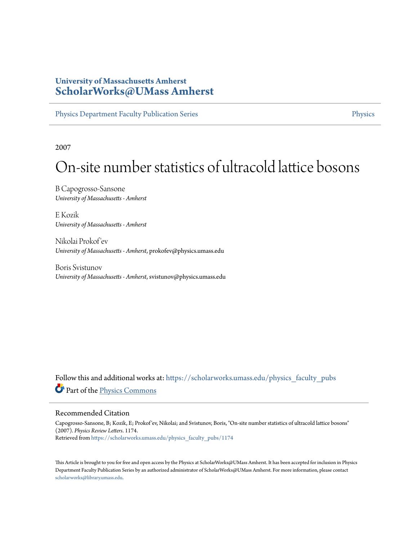# **University of Massachusetts Amherst [ScholarWorks@UMass Amherst](https://scholarworks.umass.edu?utm_source=scholarworks.umass.edu%2Fphysics_faculty_pubs%2F1174&utm_medium=PDF&utm_campaign=PDFCoverPages)**

[Physics Department Faculty Publication Series](https://scholarworks.umass.edu/physics_faculty_pubs?utm_source=scholarworks.umass.edu%2Fphysics_faculty_pubs%2F1174&utm_medium=PDF&utm_campaign=PDFCoverPages) **[Physics](https://scholarworks.umass.edu/physics?utm_source=scholarworks.umass.edu%2Fphysics_faculty_pubs%2F1174&utm_medium=PDF&utm_campaign=PDFCoverPages)** Physics

2007

# On-site number statistics of ultracold lattice bosons

B Capogrosso-Sansone *University of Massachusetts - Amherst*

E Kozik *University of Massachusetts - Amherst*

Nikolai Prokof 'ev *University of Massachusetts - Amherst*, prokofev@physics.umass.edu

Boris Svistunov *University of Massachusetts - Amherst*, svistunov@physics.umass.edu

Follow this and additional works at: [https://scholarworks.umass.edu/physics\\_faculty\\_pubs](https://scholarworks.umass.edu/physics_faculty_pubs?utm_source=scholarworks.umass.edu%2Fphysics_faculty_pubs%2F1174&utm_medium=PDF&utm_campaign=PDFCoverPages) Part of the [Physics Commons](http://network.bepress.com/hgg/discipline/193?utm_source=scholarworks.umass.edu%2Fphysics_faculty_pubs%2F1174&utm_medium=PDF&utm_campaign=PDFCoverPages)

# Recommended Citation

Capogrosso-Sansone, B; Kozik, E; Prokof'ev, Nikolai; and Svistunov, Boris, "On-site number statistics of ultracold lattice bosons" (2007). *Physics Review Letters*. 1174. Retrieved from [https://scholarworks.umass.edu/physics\\_faculty\\_pubs/1174](https://scholarworks.umass.edu/physics_faculty_pubs/1174?utm_source=scholarworks.umass.edu%2Fphysics_faculty_pubs%2F1174&utm_medium=PDF&utm_campaign=PDFCoverPages)

This Article is brought to you for free and open access by the Physics at ScholarWorks@UMass Amherst. It has been accepted for inclusion in Physics Department Faculty Publication Series by an authorized administrator of ScholarWorks@UMass Amherst. For more information, please contact [scholarworks@library.umass.edu](mailto:scholarworks@library.umass.edu).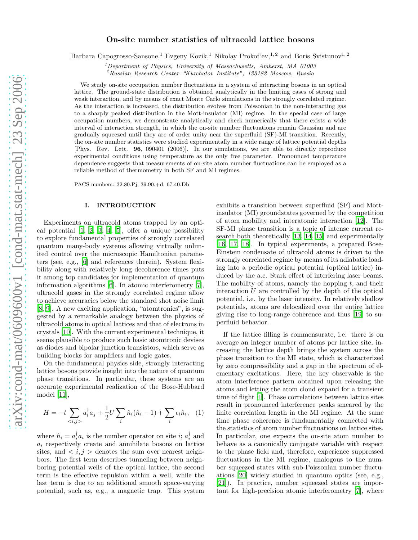# On-site number statistics of ultracold lattice bosons

Barbara Capogrosso-Sansone,<sup>1</sup> Evgeny Kozik,<sup>1</sup> Nikolay Prokof'ev,<sup>1,2</sup> and Boris Svistunov<sup>1,2</sup>

 $1$ Department of Physics, University of Massachusetts, Amherst, MA 01003

<sup>2</sup>Russian Research Center "Kurchatov Institute", 123182 Moscow, Russia

We study on-site occupation number fluctuations in a system of interacting bosons in an optical lattice. The ground-state distribution is obtained analytically in the limiting cases of strong and weak interaction, and by means of exact Monte Carlo simulations in the strongly correlated regime. As the interaction is increased, the distribution evolves from Poissonian in the non-interacting gas to a sharply peaked distribution in the Mott-insulator (MI) regime. In the special case of large occupation numbers, we demonstrate analytically and check numerically that there exists a wide interval of interaction strength, in which the on-site number fluctuations remain Gaussian and are gradually squeezed until they are of order unity near the superfluid (SF)-MI transition. Recently, the on-site number statistics were studied experimentally in a wide range of lattice potential depths [Phys. Rev. Lett. 96, 090401 (2006)]. In our simulations, we are able to directly reproduce experimental conditions using temperature as the only free parameter. Pronounced temperature dependence suggests that measurements of on-site atom number fluctuations can be employed as a reliable method of thermometry in both SF and MI regimes.

PACS numbers: 32.80.Pj, 39.90.+d, 67.40.Db

## I. INTRODUCTION

Experiments on ultracold atoms trapped by an optical potential  $[1, 2, 3, 4, 5]$  $[1, 2, 3, 4, 5]$  $[1, 2, 3, 4, 5]$  $[1, 2, 3, 4, 5]$  $[1, 2, 3, 4, 5]$  $[1, 2, 3, 4, 5]$  $[1, 2, 3, 4, 5]$ , offer a unique possibility to explore fundamental properties of strongly correlated quantum many-body systems allowing virtually unlimited control over the microscopic Hamiltonian parameters (see, e.g., [\[6\]](#page-9-5) and references therein). System flexibility along with relatively long decoherence times puts it among top candidates for implementation of quantum information algorithms [\[6](#page-9-5)]. In atomic interferometry [\[7\]](#page-9-6), ultracold gases in the strongly correlated regime allow to achieve accuracies below the standard shot noise limit [\[8,](#page-9-7) [9\]](#page-9-8). A new exciting application, "atomtronics", is suggested by a remarkable analogy between the physics of ultracold atoms in optical lattices and that of electrons in crystals [\[10](#page-9-9)]. With the current experimental technique, it seems plausible to produce such basic atomtronic devises as diodes and bipolar junction transistors, which serve as building blocks for amplifiers and logic gates.

<span id="page-1-0"></span>On the fundamental physics side, strongly interacting lattice bosons provide insight into the nature of quantum phase transitions. In particular, these systems are an accurate experimental realization of the Bose-Hubbard model [\[11](#page-9-10)],

$$
H = -t \sum_{\langle i,j \rangle} a_i^{\dagger} a_j + \frac{1}{2} U \sum_i \hat{n}_i (\hat{n}_i - 1) + \sum_i \epsilon_i \hat{n}_i, \quad (1)
$$

where  $\hat{n}_i = a_i^{\dagger} a_i$  is the number operator on site *i*;  $a_i^{\dagger}$  and  $a_i$  respectively create and annihilate bosons on lattice sites, and  $\langle i, j \rangle$  denotes the sum over nearest neighbors. The first term describes tunneling between neighboring potential wells of the optical lattice, the second term is the effective repulsion within a well, while the last term is due to an additional smooth space-varying potential, such as, e.g., a magnetic trap. This system exhibits a transition between superfluid (SF) and Mottinsulator (MI) groundstates governed by the competition of atom mobility and interatomic interaction [\[12\]](#page-9-11). The SF-MI phase transition is a topic of intense current research both theoretically [\[13,](#page-9-12) [14,](#page-9-13) [15\]](#page-9-14) and experimentally [\[16,](#page-9-15) [17](#page-9-16), [18\]](#page-9-17). In typical experiments, a prepared Bose-Einstein condensate of ultracold atoms is driven to the strongly correlated regime by means of its adiabatic loading into a periodic optical potential (optical lattice) induced by the a.c. Stark effect of interfering laser beams. The mobility of atoms, namely the hopping  $t$ , and their interaction  $U$  are controlled by the depth of the optical potential, i.e. by the laser intensity. In relatively shallow potentials, atoms are delocalized over the entire lattice giving rise to long-range coherence and thus [\[19\]](#page-9-18) to superfluid behavior.

If the lattice filling is commensurate, i.e. there is on average an integer number of atoms per lattice site, increasing the lattice depth brings the system across the phase transition to the MI state, which is characterized by zero compressibility and a gap in the spectrum of elementary excitations. Here, the key observable is the atom interference pattern obtained upon releasing the atoms and letting the atom cloud expand for a transient time of flight [\[1](#page-9-0)]. Phase correlations between lattice sites result in pronounced interference peaks smeared by the finite correlation length in the MI regime. At the same time phase coherence is fundamentally connected with the statistics of atom number fluctuations on lattice sites. In particular, one expects the on-site atom number to behave as a canonically conjugate variable with respect to the phase field and, therefore, experience suppressed fluctuations in the MI regime, analogous to the number squeezed states with sub-Poissonian number fluctuations [\[20](#page-9-19)] widely studied in quantum optics (see, e.g., [\[21\]](#page-9-20)). In practice, number squeezed states are important for high-precision atomic interferometry [\[7\]](#page-9-6), where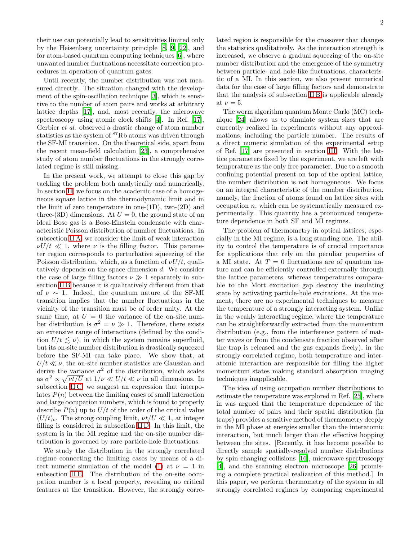their use can potentially lead to sensitivities limited only by the Heisenberg uncertainty principle [\[8,](#page-9-7) [9](#page-9-8), [22\]](#page-9-21), and for atom-based quantum computing techniques [\[6\]](#page-9-5), where unwanted number fluctuations necessitate correction procedures in operation of quantum gates.

Until recently, the number distribution was not measured directly. The situation changed with the development of the spin-oscillation technique [\[3](#page-9-2)], which is sensitive to the number of atom pairs and works at arbitrary lattice depths [\[17\]](#page-9-16), and, most recently, the microwave spectroscopy using atomic clock shifts [\[4\]](#page-9-3). In Ref. [\[17\]](#page-9-16), Gerbier et al. observed a drastic change of atom number statistics as the system of <sup>87</sup>Rb atoms was driven through the SF-MI transition. On the theoretical side, apart from the recent mean-field calculation [\[23](#page-9-22)], a comprehensive study of atom number fluctuations in the strongly correlated regime is still missing.

In the present work, we attempt to close this gap by tackling the problem both analytically and numerically. In section [II,](#page-3-0) we focus on the academic case of a homogeneous square lattice in the thermodynamic limit and in the limit of zero temperature in one- $(1D)$ , two- $(2D)$  and three-(3D) dimensions. At  $U = 0$ , the ground state of an ideal Bose gas is a Bose-Einstein condensate with characteristic Poisson distribution of number fluctuations. In subsection [II A,](#page-3-1) we consider the limit of weak interaction  $\nu U/t \ll 1$ , where  $\nu$  is the filling factor. This parameter region corresponds to perturbative squeezing of the Poisson distribution, which, as a function of  $\nu U/t$ , qualitatively depends on the space dimension d. We consider the case of large filling factors  $\nu \gg 1$  separately in subsection [II B](#page-4-0) because it is qualitatively different from that of  $\nu \sim 1$ . Indeed, the quantum nature of the SF-MI transition implies that the number fluctuations in the vicinity of the transition must be of order unity. At the same time, at  $U = 0$  the variance of the on-site number distribution is  $\sigma^2 = \nu \gg 1$ . Therefore, there exists an extensive range of interactions (defined by the condition  $U/t \leq \nu$ , in which the system remains superfluid, but its on-site number distribution is drastically squeezed before the SF-MI can take place. We show that, at  $U/t \ll \nu$ , the on-site number statistics are Gaussian and derive the variance  $\sigma^2$  of the distribution, which scales as  $\sigma^2 \propto \sqrt{\nu t/U}$  at  $1/\nu \ll U/t \ll \nu$  in all dimensions. In subsection IIC, we suggest an expression that interpolates  $P(n)$  between the limiting cases of small interaction and large occupation numbers, which is found to properly describe  $P(n)$  up to  $U/t$  of the order of the critical value  $(U/t)_c$ . The strong coupling limit,  $\nu t/U \ll 1$ , at integer filling is considered in subsection [II D.](#page-6-0) In this limit, the system is in the MI regime and the on-site number distribution is governed by rare particle-hole fluctuations.

We study the distribution in the strongly correlated regime connecting the limiting cases by means of a di-rect numeric simulation of the model [\(1\)](#page-1-0) at  $\nu = 1$  in subsection [II E.](#page-6-1) The distribution of the on-site occupation number is a local property, revealing no critical features at the transition. However, the strongly correlated region is responsible for the crossover that changes the statistics qualitatively. As the interaction strength is increased, we observe a gradual squeezing of the on-site number distribution and the emergence of the symmetry between particle- and hole-like fluctuations, characteristic of a MI. In this section, we also present numerical data for the case of large filling factors and demonstrate that the analysis of subsection [II B](#page-4-0) is applicable already at  $\nu = 5$ .

The worm algorithm quantum Monte Carlo (MC) technique [\[24](#page-9-23)] allows us to simulate system sizes that are currently realized in experiments without any approximations, including the particle number. The results of a direct numeric simulation of the experimental setup of Ref. [\[17\]](#page-9-16) are presented in section [III.](#page-6-2) With the lattice parameters fixed by the experiment, we are left with temperature as the only free parameter. Due to a smooth confining potential present on top of the optical lattice, the number distribution is not homogeneous. We focus on an integral characteristic of the number distribution, namely, the fraction of atoms found on lattice sites with occupation  $n$ , which can be systematically measured experimentally. This quantity has a pronounced temperature dependence in both SF and MI regimes.

The problem of thermometry in optical lattices, especially in the MI regime, is a long standing one. The ability to control the temperature is of crucial importance for applications that rely on the peculiar properties of a MI state. At  $T = 0$  fluctuations are of quantum nature and can be efficiently controlled externally through the lattice parameters, whereas temperatures comparable to the Mott excitation gap destroy the insulating state by activating particle-hole excitations. At the moment, there are no experimental techniques to measure the temperature of a strongly interacting system. Unlike in the weakly interacting regime, where the temperature can be straightforwardly extracted from the momentum distribution (e.g., from the interference pattern of matter waves or from the condensate fraction observed after the trap is released and the gas expands freely), in the strongly correlated regime, both temperature and interatomic interaction are responsible for filling the higher momentum states making standard absorption imaging techniques inapplicable.

The idea of using occupation number distributions to estimate the temperature was explored in Ref. [\[25\]](#page-9-24), where in was argued that the temperature dependence of the total number of pairs and their spatial distribution (in traps) provides a sensitive method of thermometry deeply in the MI phase at energies smaller than the interatomic interaction, but much larger than the effective hopping between the sites. [Recently, it has become possible to directly sample spatially-resolved number distributions by spin changing collisions [\[16](#page-9-15)], microwave spectroscopy [\[4\]](#page-9-3), and the scanning electron microscope [\[26\]](#page-9-25) promising a complete practical realization of this method.] In this paper, we perform thermometry of the system in all strongly correlated regimes by comparing experimental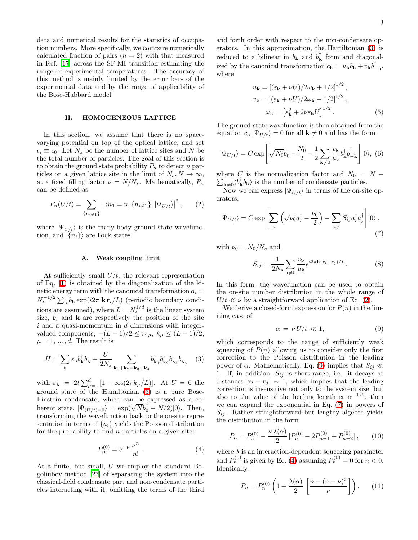data and numerical results for the statistics of occupation numbers. More specifically, we compare numerically calculated fraction of pairs  $(n = 2)$  with that measured in Ref. [\[17](#page-9-16)] across the SF-MI transition estimating the range of experimental temperatures. The accuracy of this method is mainly limited by the error bars of the experimental data and by the range of applicability of the Bose-Hubbard model.

# II. HOMOGENEOUS LATTICE

<span id="page-3-0"></span>In this section, we assume that there is no spacevarying potential on top of the optical lattice, and set  $\epsilon_i \equiv \epsilon_0$ . Let  $N_s$  be the number of lattice sites and N be the total number of particles. The goal of this section is to obtain the ground state probability  $P_n$  to detect n particles on a given lattice site in the limit of  $N_s, N \to \infty$ , at a fixed filling factor  $\nu = N/N_s$ . Mathematically,  $P_n$ can be defined as

<span id="page-3-3"></span>
$$
P_n(U/t) = \sum_{\{n_{i\neq 1}\}} |\langle n_1 = n, \{n_{i\neq 1}\} | |\Psi_{U/t} \rangle|^2, \qquad (2)
$$

<span id="page-3-1"></span>where  $|\Psi_{U/t}\rangle$  is the many-body ground state wavefunction, and  $|\{n_i\}\rangle$  are Fock states.

#### A. Weak coupling limit

At sufficiently small  $U/t$ , the relevant representation of Eq. [\(1\)](#page-1-0) is obtained by the diagonalization of the kinetic energy term with the canonical transformation  $a_i =$  $N_s^{-1/2} \sum_{\mathbf{k}} b_{\mathbf{k}} \exp(i2\pi \mathbf{k} \mathbf{r}_i/L)$  (periodic boundary conditions are assumed), where  $L = N_s^{1/d}$  is the linear system size,  $\mathbf{r}_i$  and **k** are respectively the position of the site  $i$  and a quasi-momentum in  $d$  dimensions with integervalued components,  $-(L-1)/2 \leq r_{i\mu}$ ,  $k_{\mu} \leq (L-1)/2$ ,  $\mu = 1, \ldots, d$ . The result is

<span id="page-3-2"></span>
$$
H = \sum_{k} \varepsilon_{\mathbf{k}} b_{\mathbf{k}}^{\dagger} b_{\mathbf{k}} + \frac{U}{2N_s} \sum_{\mathbf{k}_1 + \mathbf{k}_2 = \mathbf{k}_3 + \mathbf{k}_4} b_{\mathbf{k}_1}^{\dagger} b_{\mathbf{k}_2}^{\dagger} b_{\mathbf{k}_3} b_{\mathbf{k}_4} \quad (3)
$$

with  $\varepsilon_{\mathbf{k}} = 2t \sum_{\mu=1}^{d} [1 - \cos(2\pi k_{\mu}/L)].$  At  $U = 0$  the ground state of the Hamiltonian [\(3\)](#page-3-2) is a pure Bose-Einstein condensate, which can be expressed as a coherent state,  $|\Psi_{(U/t)=0}\rangle = \exp(\sqrt{N}b_0^{\dagger} - N/2)|0\rangle$ . Then, transforming the wavefunction back to the on-site representation in terms of  ${a_i}$  yields the Poisson distribution for the probability to find  $n$  particles on a given site:

<span id="page-3-6"></span>
$$
P_n^{(0)} = e^{-\nu} \frac{\nu^n}{n!}.
$$
 (4)

At a finite, but small, U we employ the standard Bogoliubov method [\[27\]](#page-9-26) of separating the system into the classical-field condensate part and non-condensate particles interacting with it, omitting the terms of the third

and forth order with respect to the non-condensate operators. In this approximation, the Hamiltonian [\(3\)](#page-3-2) is reduced to a bilinear in  $b_{\mathbf{k}}$  and  $b_{\mathbf{k}}^{\dagger}$  form and diagonalized by the canonical transformation  $c_{\mathbf{k}} = u_{\mathbf{k}} b_{\mathbf{k}} + v_{\mathbf{k}} b_{-\mathbf{k}}^{\dagger}$ , where

<span id="page-3-10"></span>
$$
u_{\mathbf{k}} = \left[ (\varepsilon_{\mathbf{k}} + \nu U)/2\omega_{\mathbf{k}} + 1/2 \right]^{1/2},
$$
  
\n
$$
v_{\mathbf{k}} = \left[ (\varepsilon_{\mathbf{k}} + \nu U)/2\omega_{\mathbf{k}} - 1/2 \right]^{1/2},
$$
  
\n
$$
\omega_{\mathbf{k}} = \left[ \varepsilon_{\mathbf{k}}^2 + 2\nu\varepsilon_{\mathbf{k}} U \right]^{1/2}.
$$
 (5)

The ground-state wavefunction is then obtained from the equation  $c_{\mathbf{k}} |\Psi_{U/t}\rangle = 0$  for all  $\mathbf{k} \neq 0$  and has the form

$$
|\Psi_{U/t}\rangle = C \exp\left[\sqrt{N_0}b_0^{\dagger} - \frac{N_0}{2} - \frac{1}{2}\sum_{\mathbf{k}\neq 0} \frac{v_{\mathbf{k}}}{u_{\mathbf{k}}}b_{\mathbf{k}}^{\dagger}b_{-\mathbf{k}}^{\dagger}\right]|0\rangle, (6)
$$

 $\sum_{\mathbf{k}\neq 0} \langle b_{\mathbf{k}}^{\dagger} b_{\mathbf{k}} \rangle$  is the number of condensate particles. where C is the normalization factor and  $N_0 = N -$ 

Now we can express  $|\Psi_{U/t}\rangle$  in terms of the on-site operators,

$$
|\Psi_{U/t}\rangle = C \exp\left[\sum_{i} \left(\sqrt{\nu_0} a_i^{\dagger} - \frac{\nu_0}{2}\right) - \sum_{i,j} S_{ij} a_i^{\dagger} a_j^{\dagger}\right]|0\rangle ,
$$
\n(7)

<span id="page-3-9"></span>with  $\nu_0 = N_0/N_s$  and

<span id="page-3-5"></span>
$$
S_{ij} = \frac{1}{2N_s} \sum_{\mathbf{k} \neq 0} \frac{v_{\mathbf{k}}}{u_{\mathbf{k}}} e^{i2\pi \mathbf{k} (\mathbf{r}_i - \mathbf{r}_j)/L}.
$$
 (8)

In this form, the wavefunction can be used to obtain the on-site number distribution in the whole range of  $U/t \ll \nu$  by a straightforward application of Eq. [\(2\)](#page-3-3).

<span id="page-3-4"></span>We derive a closed-form expression for  $P(n)$  in the limiting case of

$$
\alpha = \nu U/t \ll 1,\tag{9}
$$

which corresponds to the range of sufficiently weak squeezing of  $P(n)$  allowing us to consider only the first correction to the Poisson distribution in the leading power of α. Mathematically, Eq. [\(9\)](#page-3-4) implies that  $S_{ij}$  ≪ 1. If, in addition,  $S_{ij}$  is short-range, i.e. it decays at distances  $|\mathbf{r}_i - \mathbf{r}_j| \sim 1$ , which implies that the leading correction is insensitive not only to the system size, but also to the value of the healing length  $\propto \alpha^{-1/2}$ , then we can expand the exponential in Eq. [\(7\)](#page-3-5) in powers of  $S_{ij}$ . Rather straightforward but lengthy algebra yields the distribution in the form

<span id="page-3-7"></span>
$$
P_n = P_n^{(0)} - \frac{\nu \lambda(\alpha)}{2} \left[ P_n^{(0)} - 2P_{n-1}^{(0)} + P_{n-2}^{(0)} \right],\qquad(10)
$$

<span id="page-3-8"></span>where  $\lambda$  is an interaction-dependent squeezing parameter and  $P_n^{(0)}$  is given by Eq. [\(4\)](#page-3-6) assuming  $P_n^{(0)} = 0$  for  $n < 0$ . Identically,

$$
P_n = P_n^{(0)} \left( 1 + \frac{\lambda(\alpha)}{2} \left[ \frac{n - (n - \nu)^2}{\nu} \right] \right). \tag{11}
$$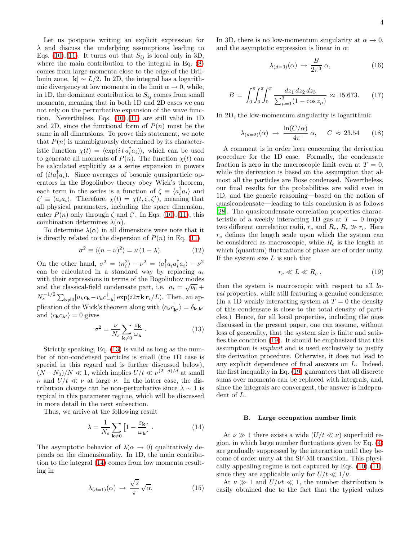Let us postpone writing an explicit expression for  $\lambda$  and discuss the underlying assumptions leading to Eqs. [\(10\)](#page-3-7),[\(11\)](#page-3-8). It turns out that  $S_{ij}$  is local only in 3D, where the main contribution to the integral in Eq. [\(8\)](#page-3-9) comes from large momenta close to the edge of the Brillouin zone,  $|\mathbf{k}| \sim L/2$ . In 2D, the integral has a logarithmic divergency at low momenta in the limit  $\alpha \to 0$ , while, in 1D, the dominant contribution to  $S_{ij}$  comes from small momenta, meaning that in both 1D and 2D cases we can not rely on the perturbative expansion of the wave function. Nevertheless, Eqs. [\(10\)](#page-3-7),[\(11\)](#page-3-8) are still valid in 1D and 2D, since the functional form of  $P(n)$  must be the same in all dimensions. To prove this statement, we note that  $P(n)$  is unambiguously determined by its characteristic function  $\chi(t) = \langle \exp(it \, a_i^\dagger a_i) \rangle$ , which can be used to generate all moments of  $P(n)$ . The function  $\chi(t)$  can be calculated explicitly as a series expansion in powers of  $(ita_i^{\dagger}a_i)$ . Since averages of bosonic quasiparticle operators in the Bogoliubov theory obey Wick's theorem, each term in the series is a function of  $\zeta \equiv \langle a_i^{\dagger} a_i \rangle$  and  $\zeta' \equiv \langle a_i a_i \rangle$ . Therefore,  $\chi(t) = \chi(t, \zeta, \zeta')$ , meaning that all physical parameters, including the space dimension, enter  $P(n)$  only through  $\zeta$  and  $\zeta'$ . In Eqs. [\(10\)](#page-3-7),[\(11\)](#page-3-8), this combination determines  $\lambda(\alpha)$ .

To determine  $\lambda(\alpha)$  in all dimensions were note that it is directly related to the dispersion of  $P(n)$  in Eq. [\(11\)](#page-3-8)

$$
\sigma^2 \equiv \langle (n - \nu)^2 \rangle = \nu (1 - \lambda). \tag{12}
$$

On the other hand,  $\sigma^2 = \langle n_i^2 \rangle - \nu^2 = \langle a_i^\dagger a_i a_i^\dagger a_i \rangle - \nu^2$ can be calculated in a standard way by replacing  $a_i$ with their expressions in terms of the Bogoliubov modes and the classical-field condensate part, i.e.  $a_i = \sqrt{\nu_0} +$  $N_s^{-1/2} \sum_{\mathbf{k}\neq 0} [u_k c_{\mathbf{k}} - v_k c_{-\mathbf{k}}^\dagger] \exp(i2\pi \mathbf{k} \mathbf{r}_i/L)$ . Then, an application of the Wick's theorem along with  $\langle c_{\mathbf{k}} c_{\mathbf{k'}}^{\dagger} \rangle = \delta_{\mathbf{k},\mathbf{k'}}$ and  $\langle c_{\mathbf{k}} c_{\mathbf{k'}} \rangle = 0$  gives

$$
\sigma^2 = \frac{\nu}{N_s} \sum_{\mathbf{k} \neq 0} \frac{\varepsilon_{\mathbf{k}}}{\omega_{\mathbf{k}}} \,. \tag{13}
$$

<span id="page-4-1"></span>Strictly speaking, Eq. [\(13\)](#page-4-1) is valid as long as the number of non-condensed particles is small (the 1D case is special in this regard and is further discussed below),  $(N - N_0)/N \ll 1$ , which implies  $U/t \ll \nu^{(2-d)/d}$  at small  $\nu$  and  $U/t \ll \nu$  at large  $\nu$ . In the latter case, the distribution change can be non-perturbative since  $\lambda \sim 1$  is typical in this parameter regime, which will be discussed in more detail in the next subsection.

Thus, we arrive at the following result

<span id="page-4-2"></span>
$$
\lambda = \frac{1}{N_s} \sum_{\mathbf{k} \neq 0} \left[ 1 - \frac{\varepsilon_{\mathbf{k}}}{\omega_{\mathbf{k}}} \right]. \tag{14}
$$

<span id="page-4-4"></span>The asymptotic behavior of  $\lambda(\alpha \rightarrow 0)$  qualitatively depends on the dimensionality. In 1D, the main contribution to the integral [\(14\)](#page-4-2) comes from low momenta resulting in

$$
\lambda_{(d=1)}(\alpha) \to \frac{\sqrt{2}}{\pi} \sqrt{\alpha}.
$$
 (15)

In 3D, there is no low-momentum singularity at  $\alpha \to 0$ , and the asymptotic expression is linear in  $\alpha$ :

<span id="page-4-6"></span><span id="page-4-5"></span>
$$
\lambda_{(d=3)}(\alpha) \to \frac{B}{2\pi^3} \alpha,\tag{16}
$$

$$
B = \int_0^{\pi} \int_0^{\pi} \int_0^{\pi} \frac{dz_1 \, dz_2 \, dz_3}{\sum_{\mu=1}^3 (1 - \cos z_{\mu})} \approx 15.673. \tag{17}
$$

In 2D, the low-momentum singularity is logarithmic

$$
\lambda_{(d=2)}(\alpha) \rightarrow \frac{\ln(C/\alpha)}{4\pi} \alpha, \quad C \approx 23.54 \quad (18)
$$

A comment is in order here concerning the derivation procedure for the 1D case. Formally, the condensate fraction is zero in the macroscopic limit even at  $T = 0$ , while the derivation is based on the assumption that almost all the particles are Bose condensed. Nevertheless, our final results for the probabilities are valid even in 1D, and the generic reasoning—based on the notion of quasicondensate—leading to this conclusion is as follows [\[28\]](#page-9-27). The quasicondensate correlation properties characteristic of a weekly interacting 1D gas at  $T = 0$  imply two different correlation radii,  $r_c$  and  $R_c$ ,  $R_c \gg r_c$ . Here  $r_c$  defines the length scale upon which the system can be considered as macroscopic, while  $R_c$  is the length at which (quantum) fluctuations of phase are of order unity. If the system size  $L$  is such that

<span id="page-4-3"></span>
$$
r_c \ll L \ll R_c \,,\tag{19}
$$

then the system is macroscopic with respect to all local properties, while still featuring a genuine condensate. (In a 1D weakly interacting system at  $T = 0$  the density of this condensate is close to the total density of particles.) Hence, for all local properties, including the ones discussed in the present paper, one can assume, without loss of generality, that the system size is finite and satisfies the condition [\(19\)](#page-4-3). It should be emphasized that this assumption is implicit and is used exclusively to justify the derivation procedure. Otherwise, it does not lead to any explicit dependence of final answers on L. Indeed, the first inequality in Eq. [\(19\)](#page-4-3) guarantees that all discrete sums over momenta can be replaced with integrals, and, since the integrals are convergent, the answer is independent of L.

#### B. Large occupation number limit

<span id="page-4-0"></span>At  $\nu \gg 1$  there exists a wide  $(U/t \ll \nu)$  superfluid region, in which large number fluctuations given by Eq. [\(4\)](#page-3-6) are gradually suppressed by the interaction until they become of order unity at the SF-MI transition. This physically appealing regime is not captured by Eqs.  $(10),(11)$  $(10),(11)$ , since they are applicable only for  $U/t \ll 1/\nu$ .

At  $\nu \gg 1$  and  $U/\nu t \ll 1$ , the number distribution is easily obtained due to the fact that the typical values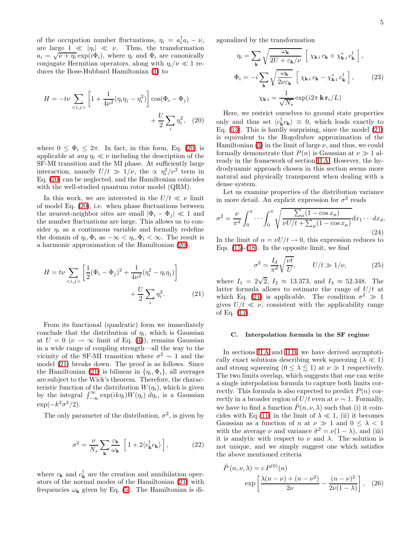of the occupation number fluctuations,  $\eta_i = a_i^{\dagger} a_i - \nu$ , are large  $1 \ll |\eta_i| \ll \nu$ . Thus, the transformation  $a_i = \sqrt{\nu + \eta_i} \exp(i\Phi_i)$ , where  $\eta_i$  and  $\Phi_i$  are canonically conjugate Hermitian operators, along with  $\eta_i/\nu \ll 1$  reduces the Bose-Hubbard Hamiltonian [\(1\)](#page-1-0) to

$$
H = -t\nu \sum_{\langle i,j \rangle} \left[ 1 + \frac{1}{4\nu^2} (\eta_i \eta_j - \eta_i^2) \right] \cos(\Phi_i - \Phi_j) + \frac{U}{2} \sum_i \eta_i^2, \quad (20)
$$

where  $0 \leq \Phi_i \leq 2\pi$ . In fact, in this form, Eq. [\(20\)](#page-5-1) is applicable at *any*  $\eta_i \ll \nu$  including the description of the SF-MI transition and the MI phase. At sufficiently large interaction, namely  $U/t \gg 1/\nu$ , the  $\propto \eta_i^2/\nu^2$  term in Eq. [\(20\)](#page-5-1) can be neglected, and the Hamiltonian coincides with the well-studied quantum rotor model (QRM).

In this work, we are interested in the  $U/t \ll \nu$  limit of model Eq. [\(20\)](#page-5-1), i.e. when phase fluctuations between the nearest-neighbor sites are small  $|\Phi_i - \Phi_j| \ll 1$  and the number fluctuations are large. This allows us to consider  $\eta_i$  as a continuous variable and formally redefine the domain of  $\eta_i, \Phi_i$  as  $-\infty < \eta_i, \Phi_i < \infty$ . The result is a harmonic approximation of the Hamiltonian [\(20\)](#page-5-1),

$$
H = t\nu \sum_{\langle i,j \rangle} \left[ \frac{1}{2} (\Phi_i - \Phi_j)^2 + \frac{1}{4\nu^2} (\eta_i^2 - \eta_i \eta_j) \right] + \frac{U}{2} \sum_i \eta_i^2.
$$
 (21)

From its functional (quadratic) form we immediately conclude that the distribution of  $\eta_i$ , which is Gaussian at  $U = 0 \ (\nu \to \infty \text{ limit of Eq. (4)}), \text{ remains Gaussian}$  $U = 0 \ (\nu \to \infty \text{ limit of Eq. (4)}), \text{ remains Gaussian}$  $U = 0 \ (\nu \to \infty \text{ limit of Eq. (4)}), \text{ remains Gaussian}$ in a wide range of coupling strength—all the way to the vicinity of the SF-MI transition where  $\sigma^2 \sim 1$  and the model [\(21\)](#page-5-2) breaks down. The proof is as follows. Since the Hamiltonian [\(21\)](#page-5-2) is bilinear in  $\{\eta_i, \Phi_i\}$ , all averages are subject to the Wick's theorem. Therefore, the characteristic function of the distribution  $W(\eta_i)$ , which is given by the integral  $\int_{-\infty}^{\infty} \exp(ik\eta_i) W(\eta_i) d\eta_i$ , is a Gaussian  $\exp(-k^2\sigma^2/2).$ 

The only parameter of the distribution,  $\sigma^2$ , is given by

$$
\sigma^2 = \frac{\nu}{N_s} \sum_{\mathbf{k}} \frac{\varepsilon_{\mathbf{k}}}{\omega_{\mathbf{k}}} \left[ 1 + 2 \langle c_{\mathbf{k}}^{\dagger} c_{\mathbf{k}} \rangle \right],
$$
 (22)

where  $c_{\mathbf{k}}$  and  $c_{\mathbf{k}}^{\dagger}$  are the creation and annihilation operators of the normal modes of the Hamiltonian [\(21\)](#page-5-2) with frequencies  $\omega_{\mathbf{k}}$  given by Eq. [\(5\)](#page-3-10). The Hamiltonian is diagonalized by the transformation

$$
\eta_{i} = \sum_{\mathbf{k}} \sqrt{\frac{\omega_{\mathbf{k}}}{2U + \varepsilon_{\mathbf{k}}/\nu}} \left[ \chi_{\mathbf{k} i} c_{\mathbf{k}} + \chi_{\mathbf{k} i}^{*} c_{\mathbf{k}}^{\dagger} \right],
$$
  

$$
\Phi_{i} = -i \sum_{\mathbf{k}} \sqrt{\frac{\omega_{\mathbf{k}}}{2\nu\varepsilon_{\mathbf{k}}}} \left[ \chi_{\mathbf{k} i} c_{\mathbf{k}} - \chi_{\mathbf{k} i}^{*} c_{\mathbf{k}}^{\dagger} \right],
$$
(23)  

$$
\chi_{\mathbf{k} i} = \frac{1}{\sqrt{N_{s}}} \exp(i2\pi \mathbf{k} \mathbf{r}_{i}/L)
$$

<span id="page-5-1"></span>Here, we restrict ourselves to ground state properties only and thus set  $\langle c_{\mathbf{k}}^{\dagger} c_{\mathbf{k}} \rangle \equiv 0$ , which leads exactly to Eq.  $(13)$ . This is hardly surprising, since the model  $(21)$ is equivalent to the Bogoliubov approximation of the Hamiltonian [\(3\)](#page-3-2) in the limit of large  $\nu$ , and thus, we could formally demonstrate that  $P(n)$  is Gaussian at  $\nu \gg 1$  already in the framework of section [II A.](#page-3-1) However, the hydrodynamic approach chosen in this section seems more natural and physically transparent when dealing with a dense system.

Let us examine properties of the distribution variance in more detail. An explicit expression for  $\sigma^2$  reads

$$
\sigma^2 = \frac{\nu}{\pi^d} \int_0^{\pi} \cdots \int_0^{\pi} \sqrt{\frac{\sum_{\mu} (1 - \cos x_{\mu})}{\nu U/t + \sum_{\mu} (1 - \cos x_{\mu})}} dx_1 \cdots dx_d,
$$
\n(24)

In the limit of  $\alpha = \nu U/t \rightarrow 0$ , this expression reduces to Eqs.  $(15)-(18)$  $(15)-(18)$ . In the opposite limit, we find

<span id="page-5-3"></span>
$$
\sigma^2 = \frac{I_d}{\pi^d} \sqrt{\frac{\nu t}{U}}, \qquad U/t \gg 1/\nu,
$$
 (25)

<span id="page-5-2"></span>where  $I_1 = 2\sqrt{2}$ ,  $I_2 \approx 13.373$ , and  $I_3 \approx 52.348$ . The latter formula allows to estimate the range of  $U/t$  at which Eq. [\(24\)](#page-5-3) is applicable. The condition  $\sigma^2 \gg 1$ gives  $U/t \ll \nu$ , consistent with the applicability range of Eq. [\(13\)](#page-4-1).

#### C. Interpolation formula in the SF regime

<span id="page-5-0"></span>In sections [II A](#page-3-1) and [II B,](#page-4-0) we have derived asymptotically exact solutions describing week squeezing  $(\lambda \ll 1)$ and strong squeezing  $(0 \leq \lambda \leq 1)$  at  $\nu \gg 1$  respectively. The two limits overlap, which suggests that one can write a single interpolation formula to capture both limits correctly. This formula is also expected to predict  $P(n)$  correctly in a broader region of  $U/t$  even at  $\nu \sim 1$ . Formally, we have to find a function  $\tilde{P}(n, \nu, \lambda)$  such that (i) it coin-cides with Eq.[\(11\)](#page-3-8) in the limit of  $\lambda \ll 1$ , (ii) it becomes Gaussian as a function of n at  $\nu \gg 1$  and  $0 \leq \lambda < 1$ with the average  $\nu$  and variance  $\tilde{\sigma}^2 = \nu(1 - \lambda)$ , and (iii) it is analytic with respect to  $\nu$  and  $\lambda$ . The solution is not unique, and we simply suggest one which satisfies the above mentioned criteria

<span id="page-5-4"></span>
$$
\tilde{P}(n, \nu, \lambda) = c P^{(0)}(n)
$$
  
exp $\left[\frac{\lambda(n-\nu) + (n-\nu^2)}{2\nu} - \frac{(n-\nu)^2}{2\nu(1-\lambda)}\right]$ , (26)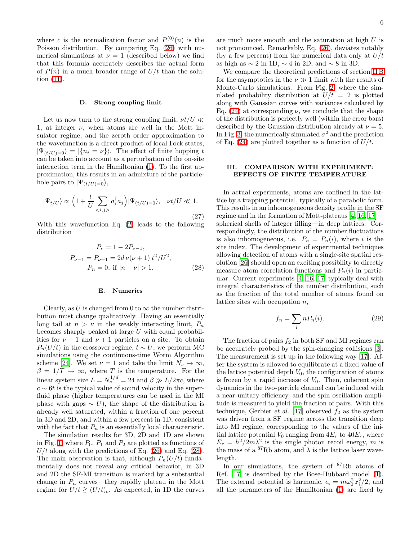where c is the normalization factor and  $P^{(0)}(n)$  is the Poisson distribution. By comparing Eq. [\(26\)](#page-5-4) with numerical simulations at  $\nu = 1$  (described below) we find that this formula accurately describes the actual form of  $P(n)$  in a much broader range of  $U/t$  than the solution [\(11\)](#page-3-8).

#### D. Strong coupling limit

<span id="page-6-0"></span>Let us now turn to the strong coupling limit,  $\nu t/U \ll$ 1, at integer  $\nu$ , when atoms are well in the Mott insulator regime, and the zeroth order approximation to the wavefunction is a direct product of local Fock states,  $|\Psi_{(t/U)=0}\rangle = |\{n_i = \nu\}\rangle$ . The effect of finite hopping t can be taken into account as a perturbation of the on-site interaction term in the Hamiltonian [\(1\)](#page-1-0). To the first approximation, this results in an admixture of the particlehole pairs to  $|\Psi(t/U)=0\rangle$ ,

$$
|\Psi_{t/U}\rangle \propto \left(1 + \frac{t}{U} \sum_{\langle i,j \rangle} a_i^\dagger a_j\right) |\Psi_{(t/U)=0}\rangle, \quad \nu t/U \ll 1.
$$
\n(27)

With this wavefunction Eq. [\(2\)](#page-3-3) leads to the following distribution

$$
P_{\nu} = 1 - 2P_{\nu - 1},
$$
  
\n
$$
P_{\nu - 1} = P_{\nu + 1} = 2d \nu (\nu + 1) t^2 / U^2,
$$
  
\n
$$
P_n = 0, \text{ if } |n - \nu| > 1.
$$
\n(28)

#### <span id="page-6-3"></span>E. Numerics

<span id="page-6-1"></span>Clearly, as U is changed from 0 to  $\infty$  the number distribution must change qualitatively. Having an essentially long tail at  $n > \nu$  in the weakly interacting limit,  $P_n$ becomes sharply peaked at large  $U$  with equal probabilities for  $\nu - 1$  and  $\nu + 1$  particles on a site. To obtain  $P_n(U/t)$  in the crossover regime,  $t \sim U$ , we perform MC simulations using the continuous-time Worm Algorithm scheme [\[24](#page-9-23)]. We set  $\nu = 1$  and take the limit  $N_s \to \infty$ ,  $\beta = 1/T \rightarrow \infty$ , where T is the temperature. For the linear system size  $L = N_s^{1/d} = 24$  and  $\beta \gg L/2\pi c$ , where  $c \sim 6t$  is the typical value of sound velocity in the superfluid phase (higher temperatures can be used in the MI phase with gaps  $\sim U$ ), the shape of the distribution is already well saturated, within a fraction of one percent in 3D and 2D, and within a few percent in 1D, consistent with the fact that  $P_n$  is an essentially local characteristic.

The simulation results for 3D, 2D and 1D are shown in Fig. [1,](#page-7-0) where  $P_0$ ,  $P_1$  and  $P_2$  are plotted as functions of  $U/t$  along with the predictions of Eq. [\(26\)](#page-5-4) and Eq. [\(28\)](#page-6-3). The main observation is that, although  $P_n(U/t)$  fundamentally does not reveal any critical behavior, in 3D and 2D the SF-MI transition is marked by a substantial change in  $P_n$  curves—they rapidly plateau in the Mott regime for  $U/t \gtrsim (U/t)_c$ . As expected, in 1D the curves

are much more smooth and the saturation at high U is not pronounced. Remarkably, Eq. [\(26\)](#page-5-4), deviates notably (by a few percent) from the numerical data only at  $U/t$ as high as  $\sim 2$  in 1D,  $\sim 4$  in 2D, and  $\sim 8$  in 3D.

We compare the theoretical predictions of section [II B](#page-4-0) for the asymptotics in the  $\nu \gg 1$  limit with the results of Monte-Carlo simulations. From Fig. [2,](#page-7-1) where the simulated probability distribution at  $U/t = 2$  is plotted along with Gaussian curves with variances calculated by Eq. [\(24\)](#page-5-3) at corresponding  $\nu$ , we conclude that the shape of the distribution is perfectly well (within the error bars) described by the Gaussian distribution already at  $\nu = 5$ . In Fig. [3,](#page-7-2) the numerically simulated  $\sigma^2$  and the prediction of Eq. [\(24\)](#page-5-3) are plotted together as a function of  $U/t$ .

## <span id="page-6-2"></span>III. COMPARISON WITH EXPERIMENT: EFFECTS OF FINITE TEMPERATURE

In actual experiments, atoms are confined in the lattice by a trapping potential, typically of a parabolic form. This results in an inhomogeneous density profile in the SF regime and in the formation of Mott-plateaus [\[4](#page-9-3), [16](#page-9-15), [17](#page-9-16)] spherical shells of integer filling—in deep lattices. Correspondingly, the distribution of the number fluctuations is also inhomogeneous, i.e.  $P_n = P_n(i)$ , where i is the site index. The development of experimental techniques allowing detection of atoms with a single-site spatial resolution [\[26\]](#page-9-25) should open an exciting possibility to directly measure atom correlation functions and  $P_n(i)$  in particular. Current experiments [\[4,](#page-9-3) [16,](#page-9-15) [17\]](#page-9-16) typically deal with integral characteristics of the number distribution, such as the fraction of the total number of atoms found on lattice sites with occupation  $n$ ,

$$
f_n = \sum_i n P_n(i). \tag{29}
$$

The fraction of pairs  $f_2$  in both SF and MI regimes can be accurately probed by the spin-changing collisions [\[3\]](#page-9-2). The measurement is set up in the following way [\[17\]](#page-9-16). After the system is allowed to equilibrate at a fixed value of the lattice potential depth  $V_0$ , the configuration of atoms is frozen by a rapid increase of  $V_0$ . Then, coherent spin dynamics in the two-particle channel can be induced with a near-unitary efficiency, and the spin oscillation amplitude is measured to yield the fraction of pairs. With this technique, Gerbier et al. [\[17\]](#page-9-16) observed  $f_2$  as the system was driven from a SF regime across the transition deep into MI regime, corresponding to the values of the initial lattice potential  $V_0$  ranging from  $4E_r$  to  $40E_r$ , where  $E_r = h^2/2m\lambda^2$  is the single photon recoil energy, m is the mass of a  ${}^{87}$ Rb atom, and  $\lambda$  is the lattice laser wavelength.

In our simulations, the system of <sup>87</sup>Rb atoms of Ref. [\[17\]](#page-9-16) is described by the Bose-Hubbard model [\(1\)](#page-1-0). The external potential is harmonic,  $\epsilon_i = m\omega_0^2 \mathbf{r}_i^2/2$ , and all the parameters of the Hamiltonian [\(1\)](#page-1-0) are fixed by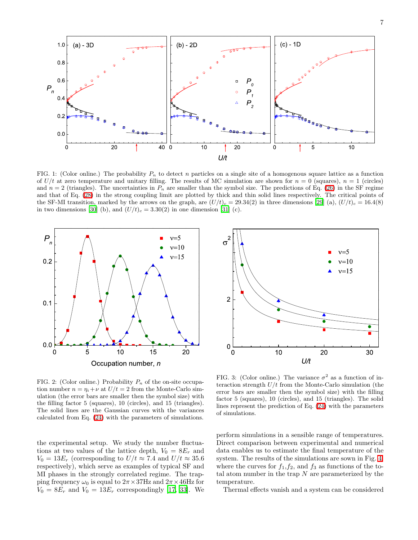7



<span id="page-7-0"></span>FIG. 1: (Color online.) The probability  $P_n$  to detect n particles on a single site of a homogenous square lattice as a function of  $U/t$  at zero temperature and unitary filling. The results of MC simulation are shown for  $n = 0$  (squares),  $n = 1$  (circles) and  $n = 2$  (triangles). The uncertainties in  $P_n$  are smaller than the symbol size. The predictions of Eq. [\(26\)](#page-5-4) in the SF regime and that of Eq. [\(28\)](#page-6-3) in the strong coupling limit are plotted by thick and thin solid lines respectively. The critical points of the SF-MI transition, marked by the arrows on the graph, are  $(U/t)_c = 29.34(2)$  in three dimensions [\[29](#page-9-28)] (a),  $(U/t)_c = 16.4(8)$ in two dimensions [\[30](#page-9-29)] (b), and  $(U/t)_c = 3.30(2)$  in one dimension [\[31\]](#page-9-30) (c).



<span id="page-7-1"></span>FIG. 2: (Color online.) Probability  $P_n$  of the on-site occupation number  $n = \eta_i + \nu$  at  $U/t = 2$  from the Monte-Carlo simulation (the error bars are smaller then the symbol size) with the filling factor 5 (squares), 10 (circles), and 15 (triangles). The solid lines are the Gaussian curves with the variances calculated from Eq. [\(24\)](#page-5-3) with the parameters of simulations.

the experimental setup. We study the number fluctuations at two values of the lattice depth,  $V_0 = 8E_r$  and  $V_0 = 13E_r$  (corresponding to  $U/t \approx 7.4$  and  $U/t \approx 35.6$ respectively), which serve as examples of typical SF and MI phases in the strongly correlated regime. The trapping frequency  $\omega_0$  is equal to  $2\pi \times 37$ Hz and  $2\pi \times 46$ Hz for  $V_0 = 8E_r$  and  $V_0 = 13E_r$  correspondingly [\[17,](#page-9-16) [33\]](#page-9-31). We



<span id="page-7-2"></span>FIG. 3: (Color online.) The variance  $\sigma^2$  as a function of interaction strength  $U/t$  from the Monte-Carlo simulation (the error bars are smaller then the symbol size) with the filling factor 5 (squares), 10 (circles), and 15 (triangles). The solid lines represent the prediction of Eq. [\(24\)](#page-5-3) with the parameters of simulations.

perform simulations in a sensible range of temperatures. Direct comparison between experimental and numerical data enables us to estimate the final temperature of the system. The results of the simulations are sown in Fig. [4,](#page-8-0) where the curves for  $f_1, f_2$ , and  $f_3$  as functions of the total atom number in the trap  $N$  are parameterized by the temperature.

Thermal effects vanish and a system can be considered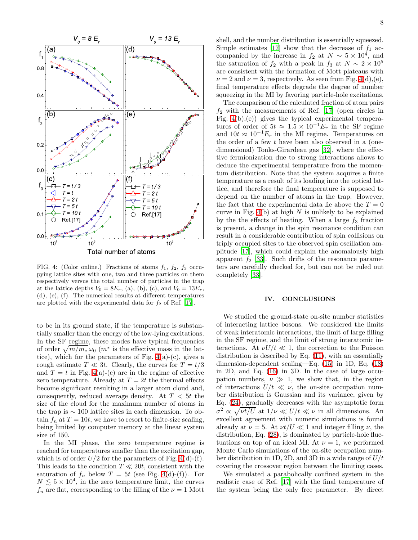

<span id="page-8-0"></span>FIG. 4: (Color online.) Fractions of atoms  $f_1, f_2, f_3$  occupying lattice sites with one, two and three particles on them respectively versus the total number of particles in the trap at the lattice depths  $V_0 = 8E_r$ , (a), (b), (c), and  $V_0 = 13E_r$ , (d), (e), (f). The numerical results at different temperatures are plotted with the experimental data for  $f_2$  of Ref. [\[17](#page-9-16)].

to be in its ground state, if the temperature is substantially smaller than the energy of the low-lying excitations. In the SF regime, these modes have typical frequencies of order  $\sqrt{m/m_*}\omega_0$  ( $m^*$  is the effective mass in the lattice), which for the parameters of Fig.  $4(a)-(c)$ , gives a rough estimate  $T \ll 3t$ . Clearly, the curves for  $T = t/3$ and  $T = t$  in Fig. [4\(](#page-8-0)a)-(c) are in the regime of effective zero temperature. Already at  $T = 2t$  the thermal effects become significant resulting in a larger atom cloud and, consequently, reduced average density. At  $T < 5t$  the size of the cloud for the maximum number of atoms in the trap is ∼ 100 lattice sites in each dimension. To obtain  $f_n$  at  $T = 10t$ , we have to resort to finite-size scaling, being limited by computer memory at the linear system size of 150.

In the MI phase, the zero temperature regime is reached for temperatures smaller than the excitation gap, which is of order  $U/2$  for the parameters of Fig. [4\(](#page-8-0)d)-(f). This leads to the condition  $T \ll 20t$ , consistent with the saturation of  $f_n$  below  $T = 5t$  (see Fig. [4\(](#page-8-0)d)-(f)). For  $N \lesssim 5 \times 10^4$ , in the zero temperature limit, the curves  $f_n$  are flat, corresponding to the filling of the  $\nu = 1$  Mott

shell, and the number distribution is essentially squeezed. Simple estimates [\[17\]](#page-9-16) show that the decrease of  $f_1$  accompanied by the increase in  $f_2$  at  $N \sim 5 \times 10^4$ , and the saturation of  $f_2$  with a peak in  $f_3$  at  $N \sim 2 \times 10^5$ are consistent with the formation of Mott plateaus with  $\nu = 2$  and  $\nu = 3$ , respectively. As seen from Fig. [4\(](#page-8-0)d),(e), final temperature effects degrade the degree of number squeezing in the MI by favoring particle-hole excitations.

The comparison of the calculated fraction of atom pairs  $f_2$  with the measurements of Ref. [\[17](#page-9-16)] (open circles in Fig.  $4(b),(e)$  gives the typical experimental temperatures of order of  $5t \approx 1.5 \times 10^{-1} E_r$  in the SF regime and  $10t \approx 10^{-1} E_r$  in the MI regime. Temperatures on the order of a few t have been also observed in a (onedimensional) Tonks-Girardeau gas [\[32\]](#page-9-32), where the effective fermionization due to strong interactions allows to deduce the experimental temperature from the momentum distribution. Note that the system acquires a finite temperature as a result of its loading into the optical lattice, and therefore the final temperature is supposed to depend on the number of atoms in the trap. However, the fact that the experimental data lie above the  $T = 0$ curve in Fig.  $4(b)$  at high N is unlikely to be explained by the the effects of heating. When a large  $f_3$  fraction is present, a change in the spin resonance condition can result in a considerable contribution of spin collisions on triply occupied sites to the observed spin oscillation amplitude [\[17\]](#page-9-16), which could explain the anomalously high apparent  $f_2$  [\[33\]](#page-9-31). Such drifts of the resonance parameters are carefully checked for, but can not be ruled out completely [\[33\]](#page-9-31).

# IV. CONCLUSIONS

We studied the ground-state on-site number statistics of interacting lattice bosons. We considered the limits of weak interatomic interactions, the limit of large filling in the SF regime, and the limit of strong interatomic interactions. At  $\nu U/t \ll 1$ , the correction to the Poisson distribution is described by Eq. [\(11\)](#page-3-8), with an essentially dimension-dependent scaling—Eq. [\(15\)](#page-4-4) in 1D, Eq. [\(18\)](#page-4-5) in 2D, and Eq. [\(16\)](#page-4-6) in 3D. In the case of large occupation numbers,  $\nu \gg 1$ , we show that, in the region of interactions  $U/t \ll \nu$ , the on-site occupation number distribution is Gaussian and its variance, given by Eq. [\(24\)](#page-5-3), gradually decreases with the asymptotic form  $\sigma^2 \propto \sqrt{\nu t/U}$  at  $1/\nu \ll U/t \ll \nu$  in all dimensions. An excellent agreement with numeric simulations is found already at  $\nu = 5$ . At  $\nu t / U \ll 1$  and integer filling  $\nu$ , the distribution, Eq. [\(28\)](#page-6-3), is dominated by particle-hole fluctuations on top of an ideal MI. At  $\nu = 1$ , we performed Monte Carlo simulations of the on-site occupation number distribution in 1D, 2D, and 3D in a wide range of  $U/t$ covering the crossover region between the limiting cases.

We simulated a parabolically confined system in the realistic case of Ref. [\[17](#page-9-16)] with the final temperature of the system being the only free parameter. By direct